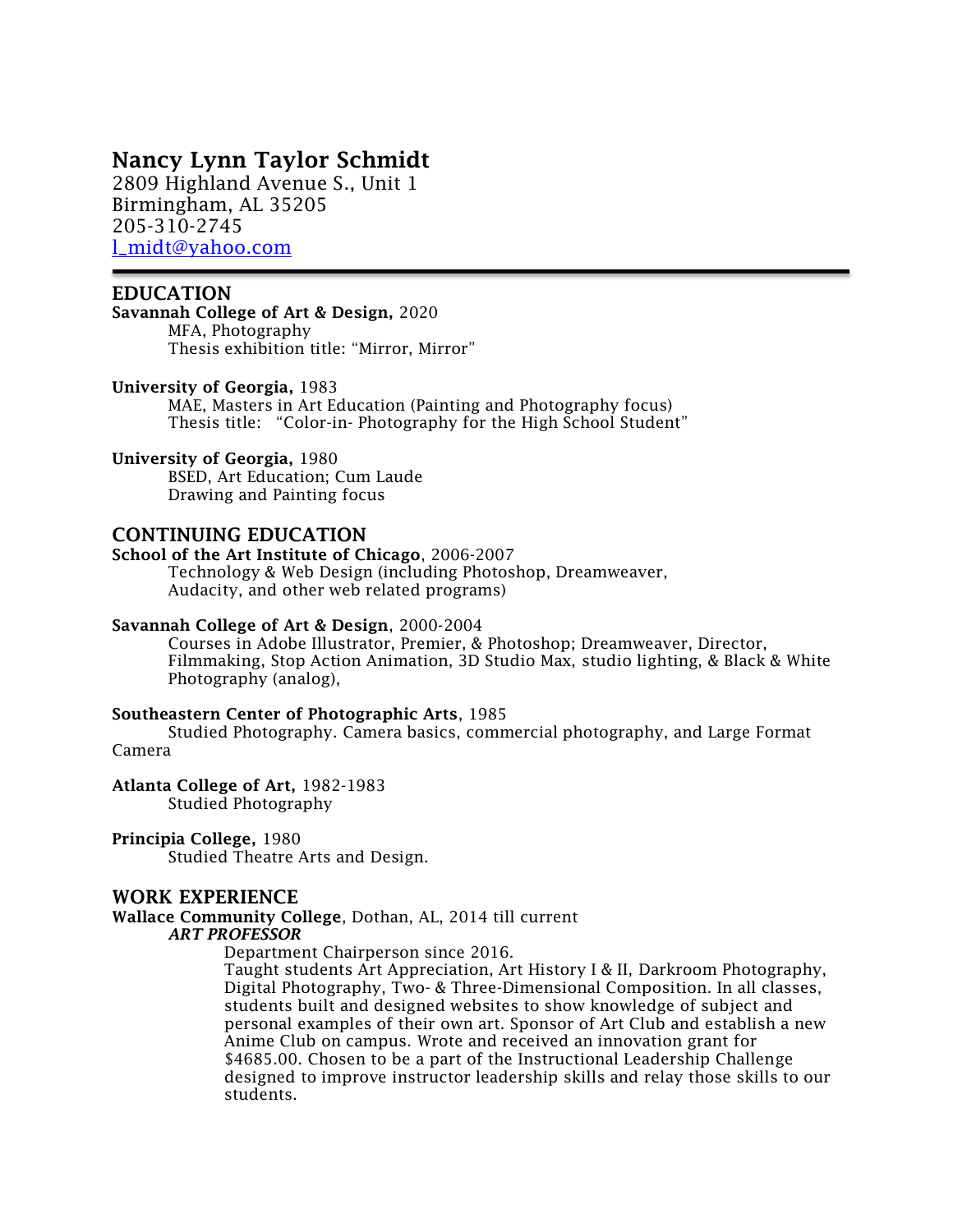# Nancy Lynn Taylor Schmidt

2809 Highland Avenue S., Unit 1 Birmingham, AL 35205 205-310-2745 [l\\_midt@yahoo.com](mailto:l_midt@yahoo.com)

## EDUCATION

Savannah College of Art & Design, 2020 MFA, Photography Thesis exhibition title: "Mirror, Mirror"

#### University of Georgia, 1983

MAE, Masters in Art Education (Painting and Photography focus) Thesis title: "Color-in- Photography for the High School Student"

#### University of Georgia, 1980

BSED, Art Education; Cum Laude Drawing and Painting focus

## CONTINUING EDUCATION

#### School of the Art Institute of Chicago, 2006-2007

Technology & Web Design (including Photoshop, Dreamweaver, Audacity, and other web related programs)

### Savannah College of Art & Design, 2000-2004

Courses in Adobe Illustrator, Premier, & Photoshop; Dreamweaver, Director, Filmmaking, Stop Action Animation, 3D Studio Max, studio lighting, & Black & White Photography (analog),

#### Southeastern Center of Photographic Arts, 1985

Studied Photography. Camera basics, commercial photography, and Large Format Camera

## Atlanta College of Art, 1982-1983

Studied Photography

### Principia College, 1980

Studied Theatre Arts and Design.

## WORK EXPERIENCE

Wallace Community College, Dothan, AL, 2014 till current *ART PROFESSOR*

Department Chairperson since 2016.

Taught students Art Appreciation, Art History I & II, Darkroom Photography, Digital Photography, Two- & Three-Dimensional Composition. In all classes, students built and designed websites to show knowledge of subject and personal examples of their own art. Sponsor of Art Club and establish a new Anime Club on campus. Wrote and received an innovation grant for \$4685.00. Chosen to be a part of the Instructional Leadership Challenge designed to improve instructor leadership skills and relay those skills to our students.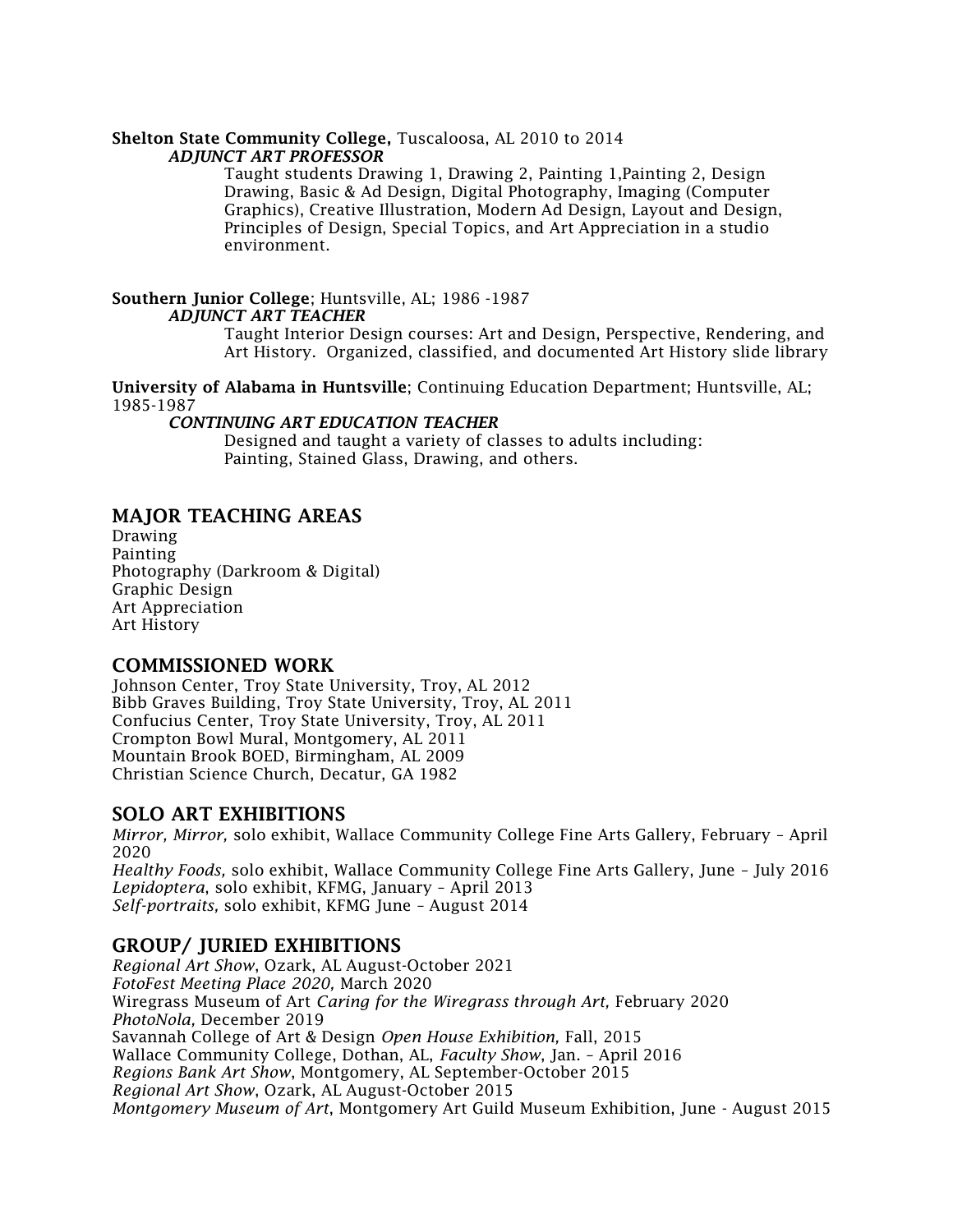# Shelton State Community College, Tuscaloosa, AL 2010 to 2014

## *ADJUNCT ART PROFESSOR*

Taught students Drawing 1, Drawing 2, Painting 1,Painting 2, Design Drawing, Basic & Ad Design, Digital Photography, Imaging (Computer Graphics), Creative Illustration, Modern Ad Design, Layout and Design, Principles of Design, Special Topics, and Art Appreciation in a studio environment.

#### Southern Junior College; Huntsville, AL; 1986 -1987 *ADJUNCT ART TEACHER*

Taught Interior Design courses: Art and Design, Perspective, Rendering, and Art History. Organized, classified, and documented Art History slide library

University of Alabama in Huntsville; Continuing Education Department; Huntsville, AL; 1985-1987

## *CONTINUING ART EDUCATION TEACHER*

Designed and taught a variety of classes to adults including: Painting, Stained Glass, Drawing, and others.

# MAJOR TEACHING AREAS

Drawing Painting Photography (Darkroom & Digital) Graphic Design Art Appreciation Art History

# COMMISSIONED WORK

Johnson Center, Troy State University, Troy, AL 2012 Bibb Graves Building, Troy State University, Troy, AL 2011 Confucius Center, Troy State University, Troy, AL 2011 Crompton Bowl Mural, Montgomery, AL 2011 Mountain Brook BOED, Birmingham, AL 2009 Christian Science Church, Decatur, GA 1982

# SOLO ART EXHIBITIONS

*Mirror, Mirror,* solo exhibit, Wallace Community College Fine Arts Gallery, February – April 2020 *Healthy Foods,* solo exhibit, Wallace Community College Fine Arts Gallery, June – July 2016 *Lepidoptera*, solo exhibit, KFMG, January – April 2013 *Self-portraits,* solo exhibit, KFMG June – August 2014

# GROUP/ JURIED EXHIBITIONS

*Regional Art Show*, Ozark, AL August-October 2021 *FotoFest Meeting Place 2020,* March 2020 Wiregrass Museum of Art *Caring for the Wiregrass through Art,* February 2020 *PhotoNola,* December 2019 Savannah College of Art & Design *Open House Exhibition,* Fall, 2015 Wallace Community College, Dothan, AL, *Faculty Show*, Jan. – April 2016 *Regions Bank Art Show*, Montgomery, AL September-October 2015 *Regional Art Show*, Ozark, AL August-October 2015 *Montgomery Museum of Art*, Montgomery Art Guild Museum Exhibition, June - August 2015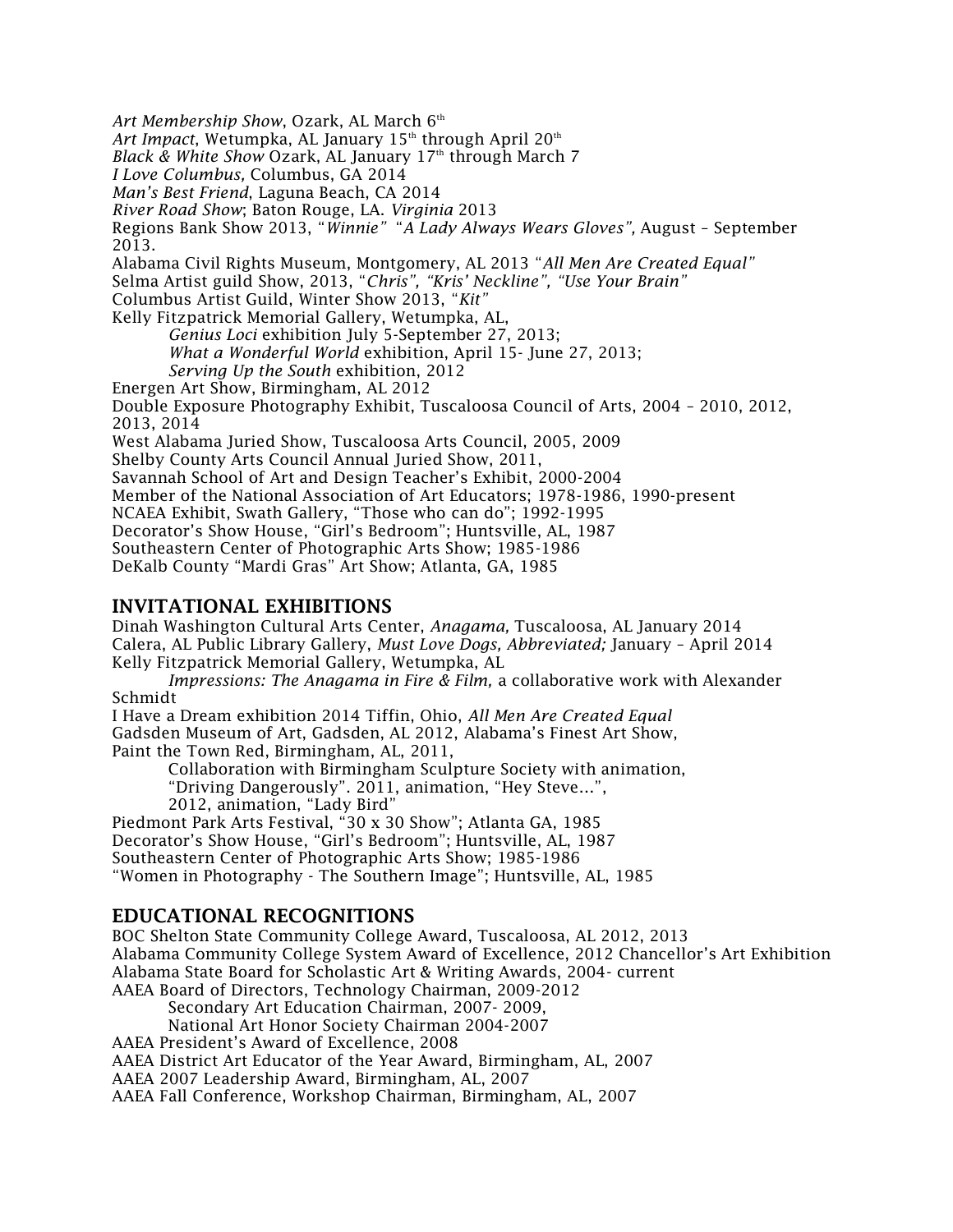Art Membership Show, Ozark, AL March 6<sup>th</sup>

*Art Impact*, Wetumpka, AL January 15<sup>th</sup> through April 20<sup>th</sup>

*Black & White Show* Ozark, AL January 17<sup>th</sup> through March 7

*I Love Columbus,* Columbus, GA 2014

*Man's Best Friend*, Laguna Beach, CA 2014

*River Road Show*; Baton Rouge, LA. *Virginia* 2013

Regions Bank Show 2013, "*Winnie"* "*A Lady Always Wears Gloves",* August – September 2013.

Alabama Civil Rights Museum, Montgomery, AL 2013 "*All Men Are Created Equal"* Selma Artist guild Show, 2013, "*Chris", "Kris' Neckline", "Use Your Brain"*

Columbus Artist Guild, Winter Show 2013, "*Kit"*

Kelly Fitzpatrick Memorial Gallery, Wetumpka, AL,

*Genius Loci* exhibition July 5-September 27, 2013;

*What a Wonderful World* exhibition, April 15- June 27, 2013;

*Serving Up the South* exhibition, 2012

Energen Art Show, Birmingham, AL 2012

Double Exposure Photography Exhibit, Tuscaloosa Council of Arts, 2004 – 2010, 2012, 2013, 2014

West Alabama Juried Show, Tuscaloosa Arts Council, 2005, 2009

Shelby County Arts Council Annual Juried Show, 2011,

Savannah School of Art and Design Teacher's Exhibit, 2000-2004

Member of the National Association of Art Educators; 1978-1986, 1990-present

NCAEA Exhibit, Swath Gallery, "Those who can do"; 1992-1995

Decorator's Show House, "Girl's Bedroom"; Huntsville, AL, 1987

Southeastern Center of Photographic Arts Show; 1985-1986

DeKalb County "Mardi Gras" Art Show; Atlanta, GA, 1985

# INVITATIONAL EXHIBITIONS

Dinah Washington Cultural Arts Center, *Anagama,* Tuscaloosa, AL January 2014 Calera, AL Public Library Gallery, *Must Love Dogs, Abbreviated;* January – April 2014 Kelly Fitzpatrick Memorial Gallery, Wetumpka, AL

*Impressions: The Anagama in Fire & Film,* a collaborative work with Alexander Schmidt

I Have a Dream exhibition 2014 Tiffin, Ohio, *All Men Are Created Equal* Gadsden Museum of Art, Gadsden, AL 2012, Alabama's Finest Art Show, Paint the Town Red, Birmingham, AL, 2011,

Collaboration with Birmingham Sculpture Society with animation,

"Driving Dangerously". 2011, animation, "Hey Steve…",

2012, animation, "Lady Bird"

Piedmont Park Arts Festival, "30 x 30 Show"; Atlanta GA, 1985

Decorator's Show House, "Girl's Bedroom"; Huntsville, AL, 1987

Southeastern Center of Photographic Arts Show; 1985-1986

"Women in Photography - The Southern Image"; Huntsville, AL, 1985

# EDUCATIONAL RECOGNITIONS

BOC Shelton State Community College Award, Tuscaloosa, AL 2012, 2013 Alabama Community College System Award of Excellence, 2012 Chancellor's Art Exhibition Alabama State Board for Scholastic Art & Writing Awards, 2004- current AAEA Board of Directors, Technology Chairman, 2009-2012

Secondary Art Education Chairman, 2007- 2009,

National Art Honor Society Chairman 2004-2007

AAEA President's Award of Excellence, 2008

AAEA District Art Educator of the Year Award, Birmingham, AL, 2007

AAEA 2007 Leadership Award, Birmingham, AL, 2007

AAEA Fall Conference, Workshop Chairman, Birmingham, AL, 2007